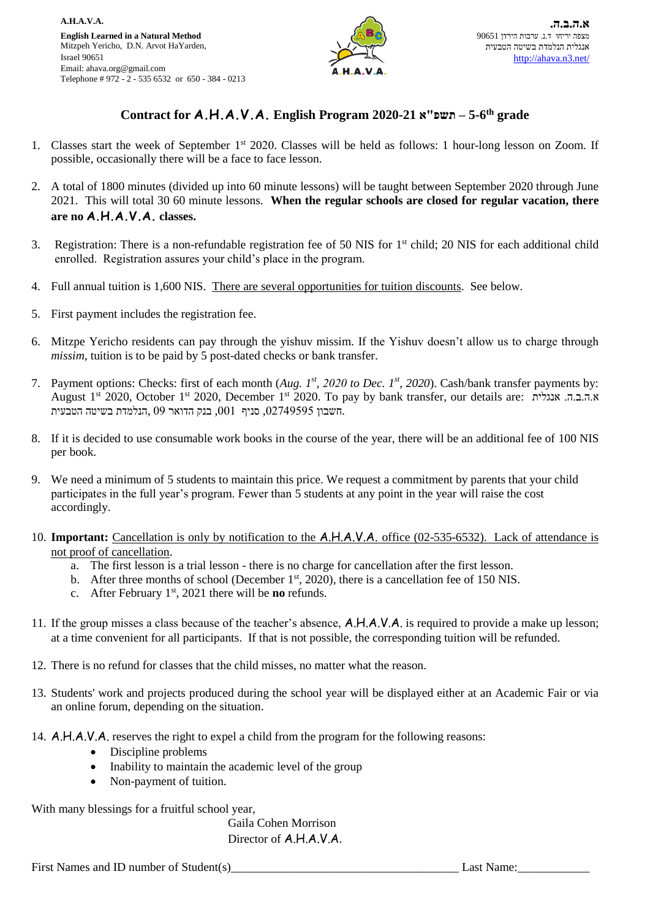

## **Contract for A.H.A.V.A. English Program 2020-21 א"תשפ – 5-6 th grade**

- 1. Classes start the week of September 1<sup>st</sup> 2020. Classes will be held as follows: 1 hour-long lesson on Zoom. If possible, occasionally there will be a face to face lesson.
- 2. A total of 1800 minutes (divided up into 60 minute lessons) will be taught between September 2020 through June 2021. This will total 30 60 minute lessons. **When the regular schools are closed for regular vacation, there are no A.H.A.V.A. classes.**
- 3. Registration: There is a non-refundable registration fee of 50 NIS for 1st child; 20 NIS for each additional child enrolled. Registration assures your child's place in the program.
- 4. Full annual tuition is 1,600 NIS. There are several opportunities for tuition discounts. See below.
- 5. First payment includes the registration fee.
- 6. Mitzpe Yericho residents can pay through the yishuv missim. If the Yishuv doesn't allow us to charge through *missim*, tuition is to be paid by 5 post-dated checks or bank transfer.
- 7. Payment options: Checks: first of each month (*Aug. 1st , 2020 to Dec. 1st, 2020*). Cash/bank transfer payments by: August 1st 2020, October 1st 2020, December 1st 2020. To pay by bank transfer, our details are: אנגלית .ה.ב.ה.א .חשבון ,02749595 סניף ,001 בנק הדואר 09 ,הנלמדת בשיטה הטבעית
- 8. If it is decided to use consumable work books in the course of the year, there will be an additional fee of 100 NIS per book.
- 9. We need a minimum of 5 students to maintain this price. We request a commitment by parents that your child participates in the full year's program. Fewer than 5 students at any point in the year will raise the cost accordingly.
- 10. **Important:** Cancellation is only by notification to the A.H.A.V.A. office (02-535-6532). Lack of attendance is not proof of cancellation.
	- a. The first lesson is a trial lesson there is no charge for cancellation after the first lesson.
	- b. After three months of school (December  $1<sup>st</sup>$ , 2020), there is a cancellation fee of 150 NIS.
	- c. After February 1st, 2021 there will be **no** refunds.
- 11. If the group misses a class because of the teacher's absence, A.H.A.V.A. is required to provide a make up lesson; at a time convenient for all participants. If that is not possible, the corresponding tuition will be refunded.
- 12. There is no refund for classes that the child misses, no matter what the reason.
- 13. Students' work and projects produced during the school year will be displayed either at an Academic Fair or via an online forum, depending on the situation.
- 14. A.H.A.V.A. reserves the right to expel a child from the program for the following reasons:
	- Discipline problems
	- Inability to maintain the academic level of the group
	- Non-payment of tuition.

With many blessings for a fruitful school year,

Gaila Cohen Morrison Director of A.H.A.V.A.

First Names and ID number of Student(s) Last Name: Last Name: